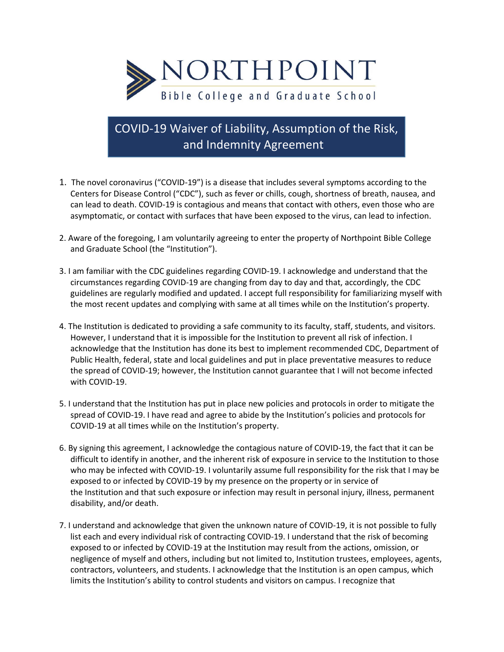

## COVID-19 Waiver of Liability, Assumption of the Risk, and Indemnity Agreement

- 1.  The novel coronavirus ("COVID-19") is a disease that includes several symptoms according to the Centers for Disease Control ("CDC"), such as fever or chills, cough, shortness of breath, nausea, and can lead to death. COVID-19 is contagious and means that contact with others, even those who are asymptomatic, or contact with surfaces that have been exposed to the virus, can lead to infection.
- 2. Aware of the foregoing, I am voluntarily agreeing to enter the property of Northpoint Bible College and Graduate School (the "Institution").
- 3. I am familiar with the CDC guidelines regarding COVID-19. I acknowledge and understand that the circumstances regarding COVID-19 are changing from day to day and that, accordingly, the CDC guidelines are regularly modified and updated. I accept full responsibility for familiarizing myself with the most recent updates and complying with same at all times while on the Institution's property.
- 4. The Institution is dedicated to providing a safe community to its faculty, staff, students, and visitors. However, I understand that it is impossible for the Institution to prevent all risk of infection. I acknowledge that the Institution has done its best to implement recommended CDC, Department of Public Health, federal, state and local guidelines and put in place preventative measures to reduce the spread of COVID-19; however, the Institution cannot guarantee that I will not become infected with COVID-19.
- 5. I understand that the Institution has put in place new policies and protocols in order to mitigate the spread of COVID-19. I have read and agree to abide by the Institution's policies and protocols for COVID-19 at all times while on the Institution's property.
- 6. By signing this agreement, I acknowledge the contagious nature of COVID-19, the fact that it can be difficult to identify in another, and the inherent risk of exposure in service to the Institution to those who may be infected with COVID-19. I voluntarily assume full responsibility for the risk that I may be exposed to or infected by COVID-19 by my presence on the property or in service of the Institution and that such exposure or infection may result in personal injury, illness, permanent disability, and/or death.
- 7. I understand and acknowledge that given the unknown nature of COVID-19, it is not possible to fully list each and every individual risk of contracting COVID-19. I understand that the risk of becoming exposed to or infected by COVID-19 at the Institution may result from the actions, omission, or negligence of myself and others, including but not limited to, Institution trustees, employees, agents, contractors, volunteers, and students. I acknowledge that the Institution is an open campus, which limits the Institution's ability to control students and visitors on campus. I recognize that